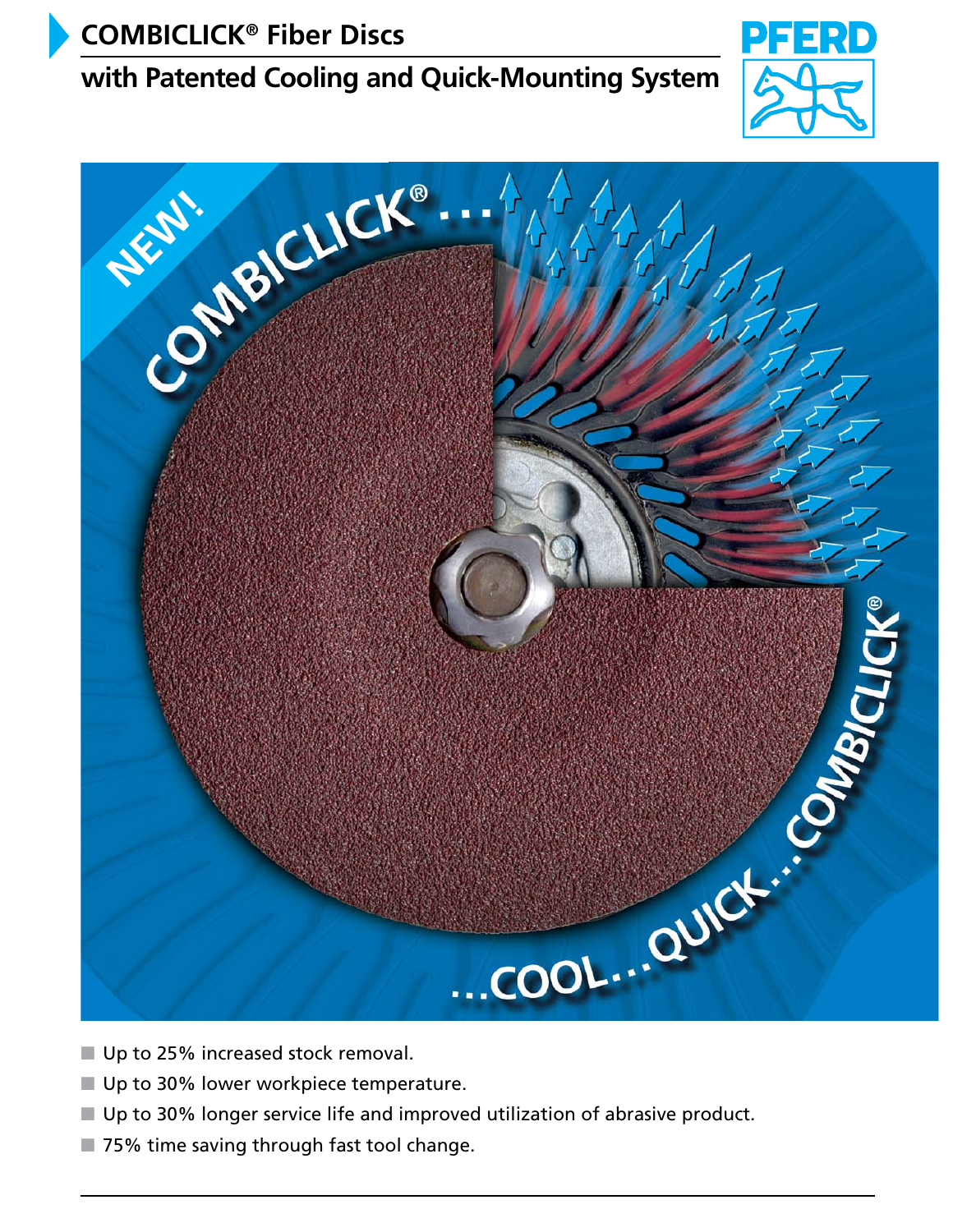# **COMBICLICK® Fiber Discs**

# **with Patented Cooling and Quick-Mounting System**





- Up to 25% increased stock removal.
- 
- Up to 30% longer service life and improved utilization of abrasive product.
- 75% time saving through fast tool change.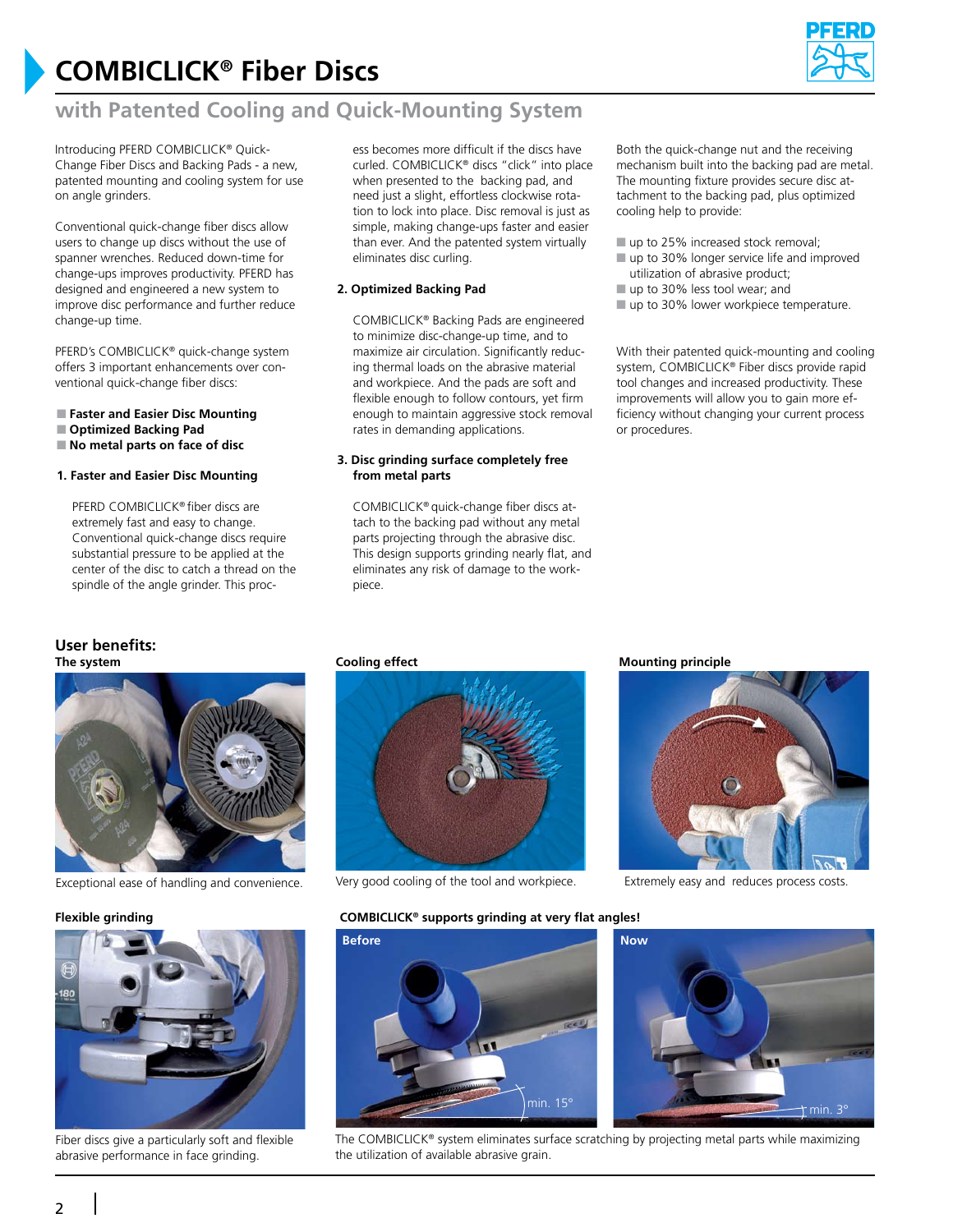# **COMBICLICK® Fiber Discs**



## **with Patented Cooling and Quick-Mounting System**

Introducing PFERD COMBICLICK® Quick-Change Fiber Discs and Backing Pads - a new, patented mounting and cooling system for use on angle grinders.

Conventional quick-change fiber discs allow users to change up discs without the use of spanner wrenches. Reduced down-time for change-ups improves productivity. PFERD has designed and engineered a new system to improve disc performance and further reduce change-up time.

PFERD's COMBICLICK® quick-change system offers 3 important enhancements over conventional quick-change fiber discs:

- **Faster and Easier Disc Mounting**
- **Optimized Backing Pad**
- **No metal parts on face of disc**

#### **1. Faster and Easier Disc Mounting**

PFERD COMBICLICK® fiber discs are extremely fast and easy to change. Conventional quick-change discs require substantial pressure to be applied at the center of the disc to catch a thread on the spindle of the angle grinder. This proc-

#### **User benefits: The system**



Exceptional ease of handling and convenience. Very good cooling of the tool and workpiece. Extremely easy and reduces process costs.



Fiber discs give a particularly soft and flexible abrasive performance in face grinding.

ess becomes more difficult if the discs have curled. COMBICLICK® discs "click" into place when presented to the backing pad, and need just a slight, effortless clockwise rotation to lock into place. Disc removal is just as simple, making change-ups faster and easier than ever. And the patented system virtually eliminates disc curling.

#### **2. Optimized Backing Pad**

COMBICLICK® Backing Pads are engineered to minimize disc-change-up time, and to maximize air circulation. Significantly reducing thermal loads on the abrasive material and workpiece. And the pads are soft and flexible enough to follow contours, yet firm enough to maintain aggressive stock removal rates in demanding applications.

#### **3. Disc grinding surface completely free from metal parts**

COMBICLICK® quick-change fiber discs attach to the backing pad without any metal parts projecting through the abrasive disc. This design supports grinding nearly flat, and eliminates any risk of damage to the workpiece.

Both the quick-change nut and the receiving mechanism built into the backing pad are metal. The mounting fixture provides secure disc attachment to the backing pad, plus optimized cooling help to provide:

- up to 25% increased stock removal:
- up to 30% longer service life and improved utilization of abrasive product;
- up to 30% less tool wear; and
- up to 30% lower workpiece temperature.

With their patented quick-mounting and cooling system, COMBICLICK® Fiber discs provide rapid tool changes and increased productivity. These improvements will allow you to gain more efficiency without changing your current process or procedures.



**Flexible grinding COMBICLICK® supports grinding at very flat angles!**



The COMBICLICK® system eliminates surface scratching by projecting metal parts while maximizing the utilization of available abrasive grain.

#### **Cooling effect <b>Mounting** principle



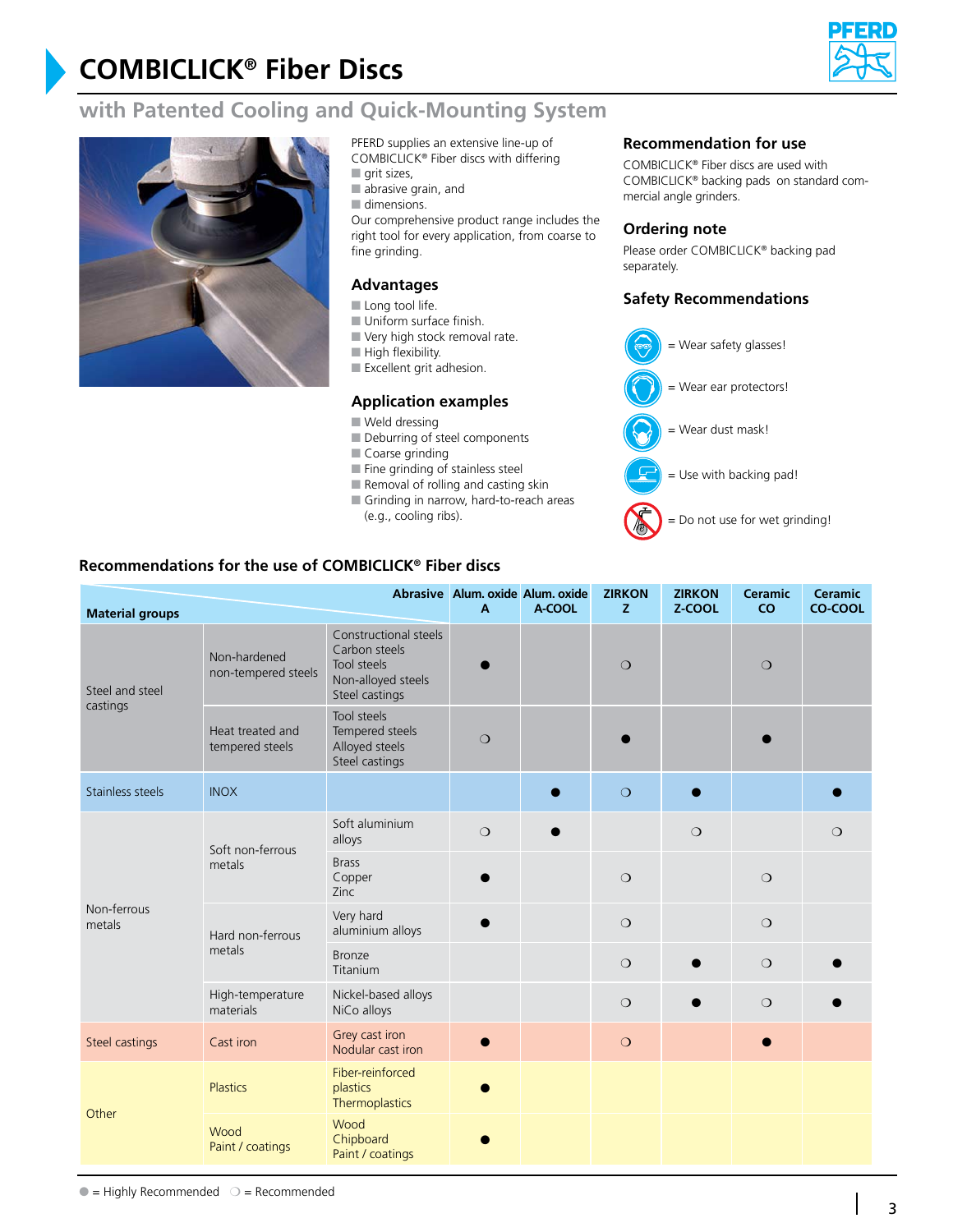# **COMBICLICK® Fiber Discs**



## **with Patented Cooling and Quick-Mounting System**



- PFERD supplies an extensive line-up of COMBICLICK® Fiber discs with differing
- **grit** sizes,
- abrasive grain, and
- dimensions.

Our comprehensive product range includes the right tool for every application, from coarse to fine grinding.

### **Advantages**

- Long tool life.
- Uniform surface finish.
- Very high stock removal rate.
- High flexibility.
- Excellent grit adhesion.

#### **Application examples**

- Weld dressing
- Deburring of steel components
- Coarse grinding
- Fine grinding of stainless steel
- $\blacksquare$  Removal of rolling and casting skin
- Grinding in narrow, hard-to-reach areas
- (e.g., cooling ribs).

### **Recommendation for use**

COMBICLICK® Fiber discs are used with COMBICLICK® backing pads on standard commercial angle grinders.

#### **Ordering note**

Please order COMBICLICK® backing pad separately.

### **Safety Recommendations**



### **Recommendations for the use of COMBICLICK® Fiber discs**

| <b>Material groups</b>      |                                     | Abrasive Alum. oxide Alum. oxide<br>$\mathsf{A}$                                              | A-COOL  | <b>ZIRKON</b><br>z | <b>ZIRKON</b><br>Z-COOL | <b>Ceramic</b><br>CO | <b>Ceramic</b><br>CO-COOL |         |
|-----------------------------|-------------------------------------|-----------------------------------------------------------------------------------------------|---------|--------------------|-------------------------|----------------------|---------------------------|---------|
| Steel and steel<br>castings | Non-hardened<br>non-tempered steels | Constructional steels<br>Carbon steels<br>Tool steels<br>Non-alloyed steels<br>Steel castings |         |                    | $\circ$                 |                      | $\circ$                   |         |
|                             | Heat treated and<br>tempered steels | Tool steels<br>Tempered steels<br>Alloyed steels<br>Steel castings                            | $\circ$ |                    |                         |                      |                           |         |
| Stainless steels            | <b>INOX</b>                         |                                                                                               |         |                    | $\circ$                 |                      |                           |         |
|                             | Soft non-ferrous<br>metals          | Soft aluminium<br>alloys                                                                      | $\circ$ |                    |                         | $\circ$              |                           | $\circ$ |
|                             |                                     | <b>Brass</b><br>Copper<br>Zinc                                                                |         |                    | $\circ$                 |                      | $\bigcirc$                |         |
| Non-ferrous<br>metals       | Hard non-ferrous<br>metals          | Very hard<br>aluminium alloys                                                                 |         |                    | $\circ$                 |                      | $\circ$                   |         |
|                             |                                     | <b>Bronze</b><br>Titanium                                                                     |         |                    | $\circ$                 |                      | $\circ$                   |         |
|                             | High-temperature<br>materials       | Nickel-based alloys<br>NiCo alloys                                                            |         |                    | $\circ$                 |                      | $\circ$                   |         |
| Steel castings              | Cast iron                           | Grey cast iron<br>Nodular cast iron                                                           |         |                    | $\circ$                 |                      |                           |         |
| Other                       | <b>Plastics</b>                     | Fiber-reinforced<br>plastics<br>Thermoplastics                                                |         |                    |                         |                      |                           |         |
|                             | Wood<br>Paint / coatings            | Wood<br>Chipboard<br>Paint / coatings                                                         |         |                    |                         |                      |                           |         |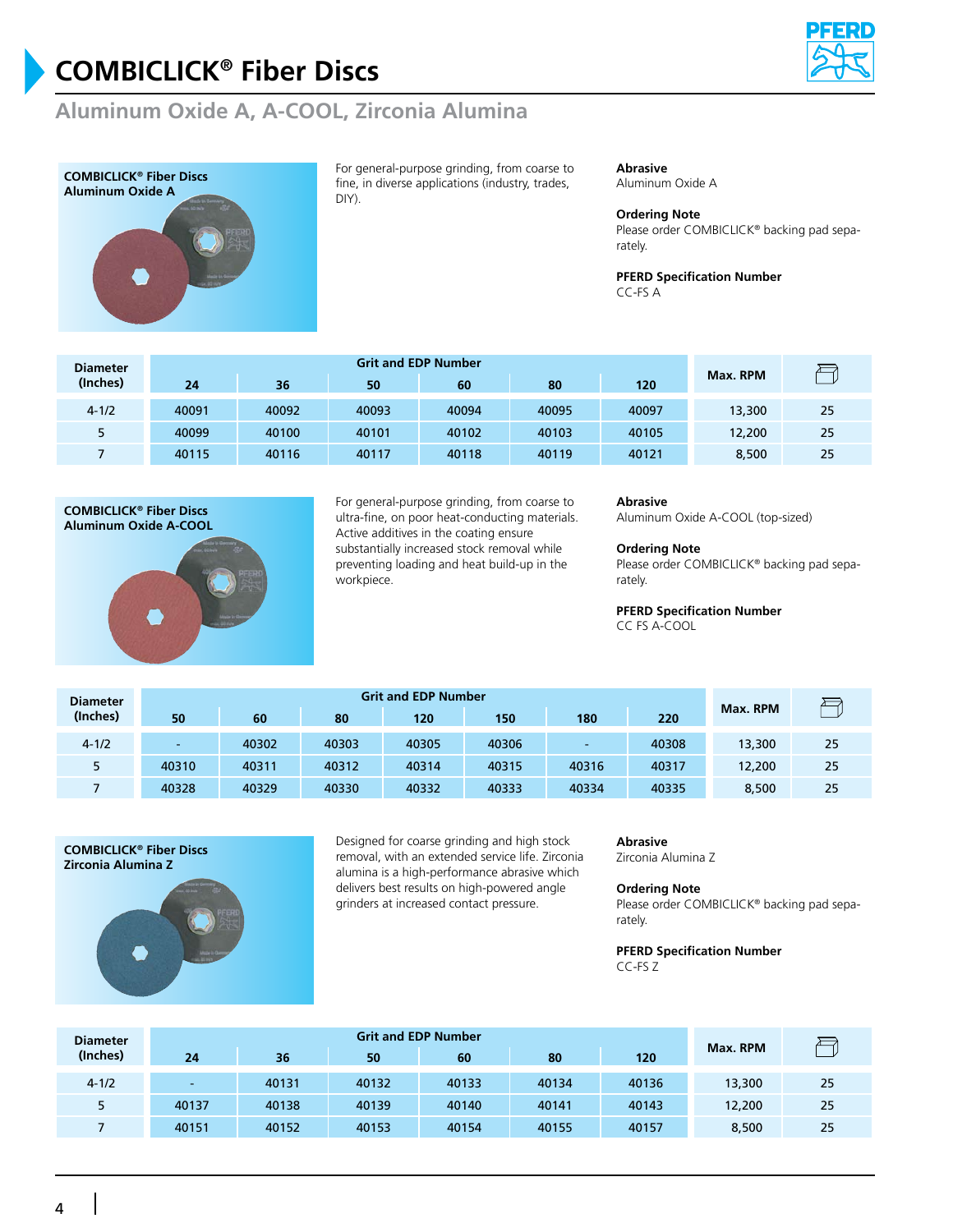

## **Aluminum Oxide A, A-COOL, Zirconia Alumina**



For general-purpose grinding, from coarse to fine, in diverse applications (industry, trades, DIY).

#### **Abrasive**

Aluminum Oxide A

#### **Ordering Note**

Please order COMBICLICK® backing pad separately.

**PFERD Specification Number** CC-FS A

| <b>Diameter</b><br>(Inches) |       |       |       |       |       |       |          |    |
|-----------------------------|-------|-------|-------|-------|-------|-------|----------|----|
|                             | 24    | 36    | 50    | 60    | 80    | 120   | Max. RPM |    |
| $4 - 1/2$                   | 40091 | 40092 | 40093 | 40094 | 40095 | 40097 | 13,300   | 25 |
|                             | 40099 | 40100 | 40101 | 40102 | 40103 | 40105 | 12,200   | 25 |
|                             | 40115 | 40116 | 40117 | 40118 | 40119 | 40121 | 8,500    | 25 |



For general-purpose grinding, from coarse to ultra-fine, on poor heat-conducting materials. Active additives in the coating ensure substantially increased stock removal while preventing loading and heat build-up in the workpiece.

#### **Abrasive**

Aluminum Oxide A-COOL (top-sized)

#### **Ordering Note**

Please order COMBICLICK® backing pad separately.

#### **PFERD Specification Number**

CC FS A-COOL

| <b>Diameter</b> |                          |       |       |       |       |       |       |          |    |
|-----------------|--------------------------|-------|-------|-------|-------|-------|-------|----------|----|
| (Inches)        | 50                       | 60    | 80    | 120   | 150   | 180   | 220   | Max. RPM |    |
| $4 - 1/2$       | $\overline{\phantom{a}}$ | 40302 | 40303 | 40305 | 40306 | -     | 40308 | 13,300   | 25 |
|                 | 40310                    | 40311 | 40312 | 40314 | 40315 | 40316 | 40317 | 12,200   | 25 |
|                 | 40328                    | 40329 | 40330 | 40332 | 40333 | 40334 | 40335 | 8,500    | 25 |



Designed for coarse grinding and high stock removal, with an extended service life. Zirconia alumina is a high-performance abrasive which delivers best results on high-powered angle grinders at increased contact pressure.

#### **Abrasive**

Zirconia Alumina Z

#### **Ordering Note**

Please order COMBICLICK® backing pad separately.

#### **PFERD Specification Number** CC-FS Z

**Grit and EDP Number Diameter** 冎 **Max. RPM (Inches) 24 36 50 60 80 120** 4-1/2 - 40131 40132 40133 40134 40136 13,300 25 5 40137 40138 40139 40140 40141 40143 12,200 25 7 40151 40152 40153 40154 40155 40157 8,500 25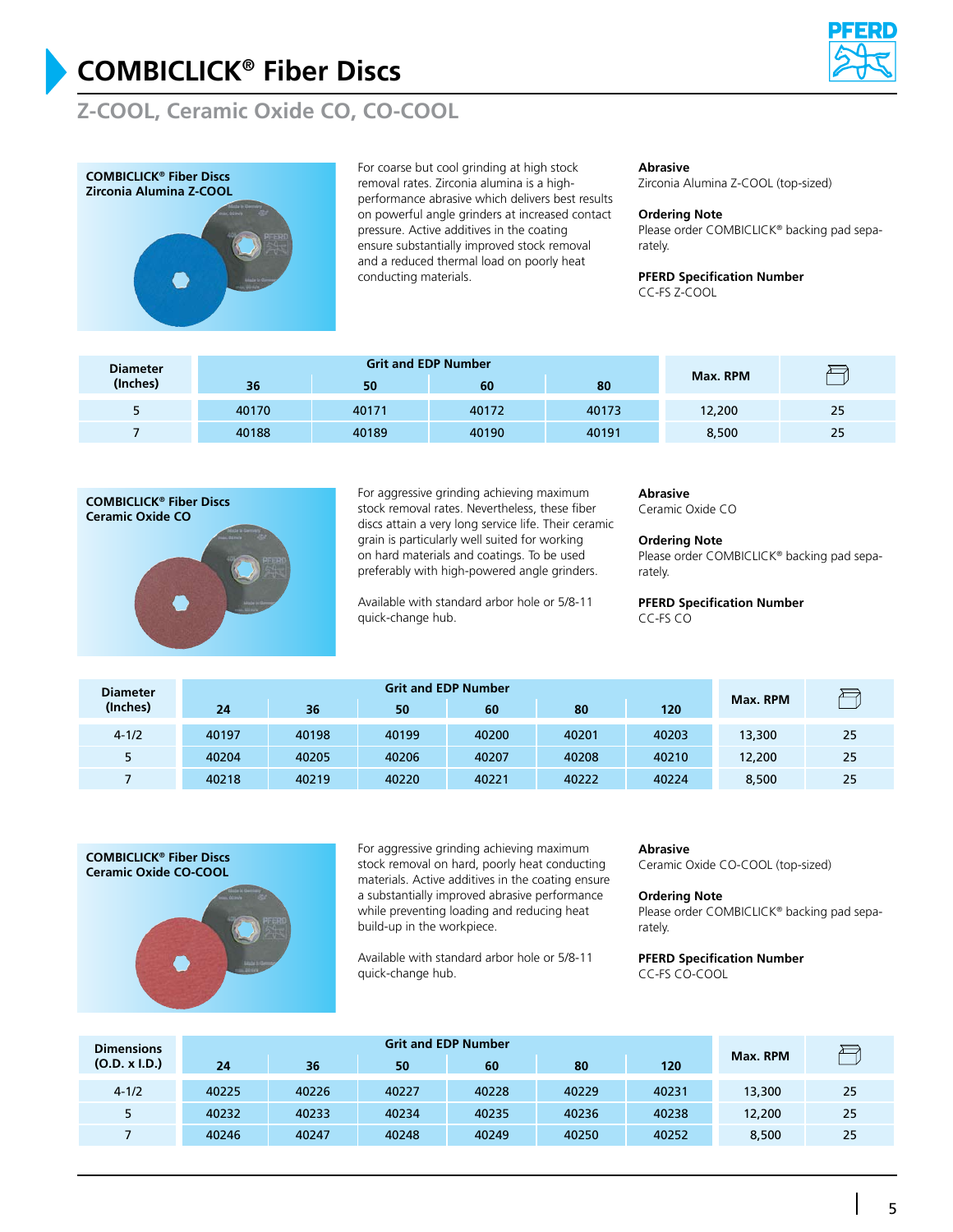

## **Z-COOL, Ceramic Oxide CO, CO-COOL**



For coarse but cool grinding at high stock removal rates. Zirconia alumina is a highperformance abrasive which delivers best results on powerful angle grinders at increased contact pressure. Active additives in the coating ensure substantially improved stock removal and a reduced thermal load on poorly heat conducting materials.

#### **Abrasive**

Zirconia Alumina Z-COOL (top-sized)

#### **Ordering Note**

Please order COMBICLICK® backing pad separately.

#### **PFERD Specification Number**

CC-FS Z-COOL

| <b>Diameter</b> |       | <b>Grit and EDP Number</b> |       |       |          |    |
|-----------------|-------|----------------------------|-------|-------|----------|----|
| (Inches)        | 36    | 50                         | 60    | 80    | Max. RPM |    |
|                 | 40170 | 40171                      | 40172 | 40173 | 12,200   | 25 |
|                 | 40188 | 40189                      | 40190 | 40191 | 8,500    | 25 |



For aggressive grinding achieving maximum stock removal rates. Nevertheless, these fiber discs attain a very long service life. Their ceramic grain is particularly well suited for working on hard materials and coatings. To be used preferably with high-powered angle grinders.

Available with standard arbor hole or 5/8-11 quick-change hub.

#### **Abrasive**

Ceramic Oxide CO

#### **Ordering Note**

Please order COMBICLICK® backing pad separately.

#### **PFERD Specification Number** CC-FS CO

**Grit and EDP Number Diameter** 冎 **Max. RPM (Inches) 24 36 50 60 80 120** 4-1/2 40197 40198 40199 40200 40201 40203 13,300 25 5 40204 40205 40206 40207 40208 40210 12,200 25 7 40218 40219 40220 40221 40222 40224 8,500 25



For aggressive grinding achieving maximum stock removal on hard, poorly heat conducting materials. Active additives in the coating ensure a substantially improved abrasive performance while preventing loading and reducing heat build-up in the workpiece.

Available with standard arbor hole or 5/8-11 quick-change hub.

#### **Abrasive**

Ceramic Oxide CO-COOL (top-sized)

#### **Ordering Note**

Please order COMBICLICK® backing pad separately.

**PFERD Specification Number** CC-FS CO-COOL

| <b>Dimensions</b> |       |       |       |       |       |       |          |    |
|-------------------|-------|-------|-------|-------|-------|-------|----------|----|
| (O.D. x I.D.)     | 24    | 36    | 50    | 60    | 80    | 120   | Max. RPM |    |
| $4 - 1/2$         | 40225 | 40226 | 40227 | 40228 | 40229 | 40231 | 13,300   | 25 |
| 5                 | 40232 | 40233 | 40234 | 40235 | 40236 | 40238 | 12,200   | 25 |
|                   | 40246 | 40247 | 40248 | 40249 | 40250 | 40252 | 8,500    | 25 |